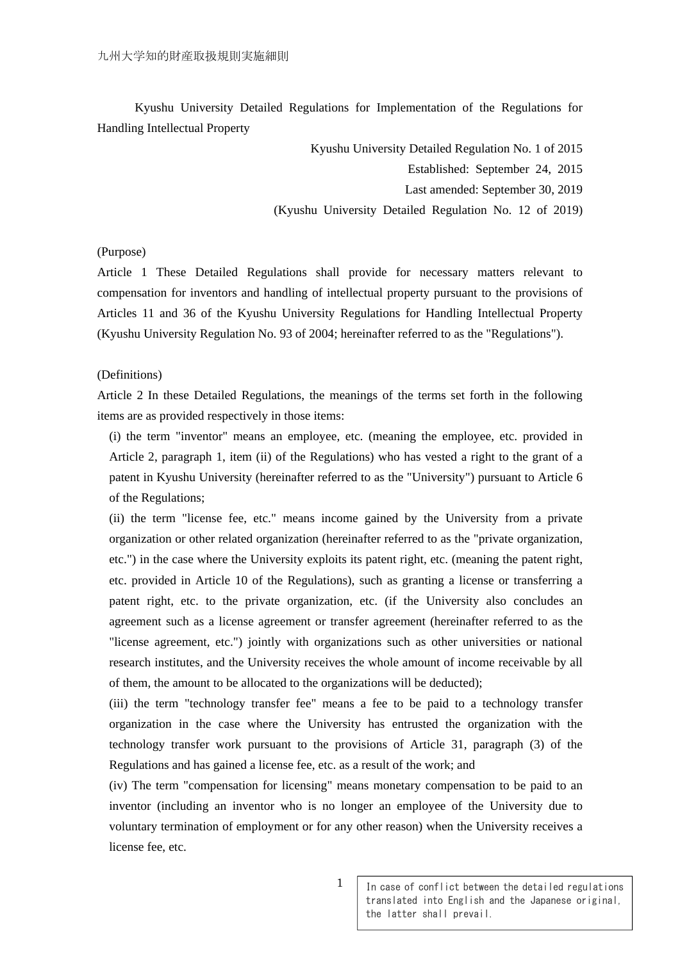Kyushu University Detailed Regulations for Implementation of the Regulations for Handling Intellectual Property

Kyushu University Detailed Regulation No. 1 of 2015

Established: September 24, 2015

Last amended: September 30, 2019

(Kyushu University Detailed Regulation No. 12 of 2019)

#### (Purpose)

Article 1 These Detailed Regulations shall provide for necessary matters relevant to compensation for inventors and handling of intellectual property pursuant to the provisions of Articles 11 and 36 of the Kyushu University Regulations for Handling Intellectual Property (Kyushu University Regulation No. 93 of 2004; hereinafter referred to as the "Regulations").

#### (Definitions)

Article 2 In these Detailed Regulations, the meanings of the terms set forth in the following items are as provided respectively in those items:

(i) the term "inventor" means an employee, etc. (meaning the employee, etc. provided in Article 2, paragraph 1, item (ii) of the Regulations) who has vested a right to the grant of a patent in Kyushu University (hereinafter referred to as the "University") pursuant to Article 6 of the Regulations;

(ii) the term "license fee, etc." means income gained by the University from a private organization or other related organization (hereinafter referred to as the "private organization, etc.") in the case where the University exploits its patent right, etc. (meaning the patent right, etc. provided in Article 10 of the Regulations), such as granting a license or transferring a patent right, etc. to the private organization, etc. (if the University also concludes an agreement such as a license agreement or transfer agreement (hereinafter referred to as the "license agreement, etc.") jointly with organizations such as other universities or national research institutes, and the University receives the whole amount of income receivable by all of them, the amount to be allocated to the organizations will be deducted);

(iii) the term "technology transfer fee" means a fee to be paid to a technology transfer organization in the case where the University has entrusted the organization with the technology transfer work pursuant to the provisions of Article 31, paragraph (3) of the Regulations and has gained a license fee, etc. as a result of the work; and

(iv) The term "compensation for licensing" means monetary compensation to be paid to an inventor (including an inventor who is no longer an employee of the University due to voluntary termination of employment or for any other reason) when the University receives a license fee, etc.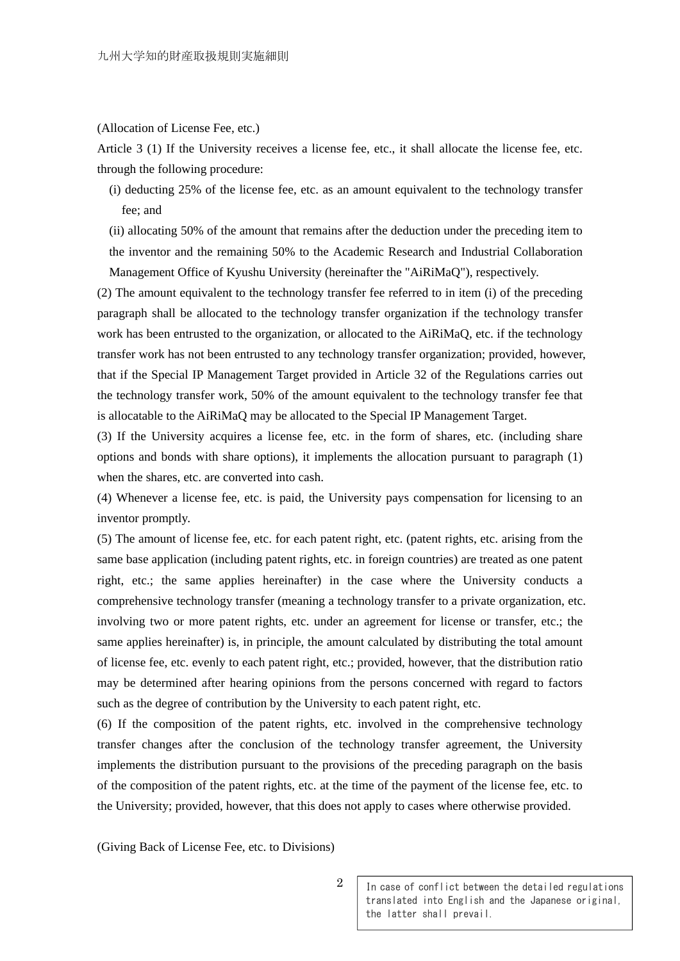#### (Allocation of License Fee, etc.)

Article 3 (1) If the University receives a license fee, etc., it shall allocate the license fee, etc. through the following procedure:

(i) deducting 25% of the license fee, etc. as an amount equivalent to the technology transfer fee; and

(ii) allocating 50% of the amount that remains after the deduction under the preceding item to the inventor and the remaining 50% to the Academic Research and Industrial Collaboration Management Office of Kyushu University (hereinafter the "AiRiMaQ"), respectively.

(2) The amount equivalent to the technology transfer fee referred to in item (i) of the preceding paragraph shall be allocated to the technology transfer organization if the technology transfer work has been entrusted to the organization, or allocated to the AiRiMaQ, etc. if the technology transfer work has not been entrusted to any technology transfer organization; provided, however, that if the Special IP Management Target provided in Article 32 of the Regulations carries out the technology transfer work, 50% of the amount equivalent to the technology transfer fee that is allocatable to the AiRiMaQ may be allocated to the Special IP Management Target.

(3) If the University acquires a license fee, etc. in the form of shares, etc. (including share options and bonds with share options), it implements the allocation pursuant to paragraph (1) when the shares, etc. are converted into cash.

(4) Whenever a license fee, etc. is paid, the University pays compensation for licensing to an inventor promptly.

(5) The amount of license fee, etc. for each patent right, etc. (patent rights, etc. arising from the same base application (including patent rights, etc. in foreign countries) are treated as one patent right, etc.; the same applies hereinafter) in the case where the University conducts a comprehensive technology transfer (meaning a technology transfer to a private organization, etc. involving two or more patent rights, etc. under an agreement for license or transfer, etc.; the same applies hereinafter) is, in principle, the amount calculated by distributing the total amount of license fee, etc. evenly to each patent right, etc.; provided, however, that the distribution ratio may be determined after hearing opinions from the persons concerned with regard to factors such as the degree of contribution by the University to each patent right, etc.

(6) If the composition of the patent rights, etc. involved in the comprehensive technology transfer changes after the conclusion of the technology transfer agreement, the University implements the distribution pursuant to the provisions of the preceding paragraph on the basis of the composition of the patent rights, etc. at the time of the payment of the license fee, etc. to the University; provided, however, that this does not apply to cases where otherwise provided.

(Giving Back of License Fee, etc. to Divisions)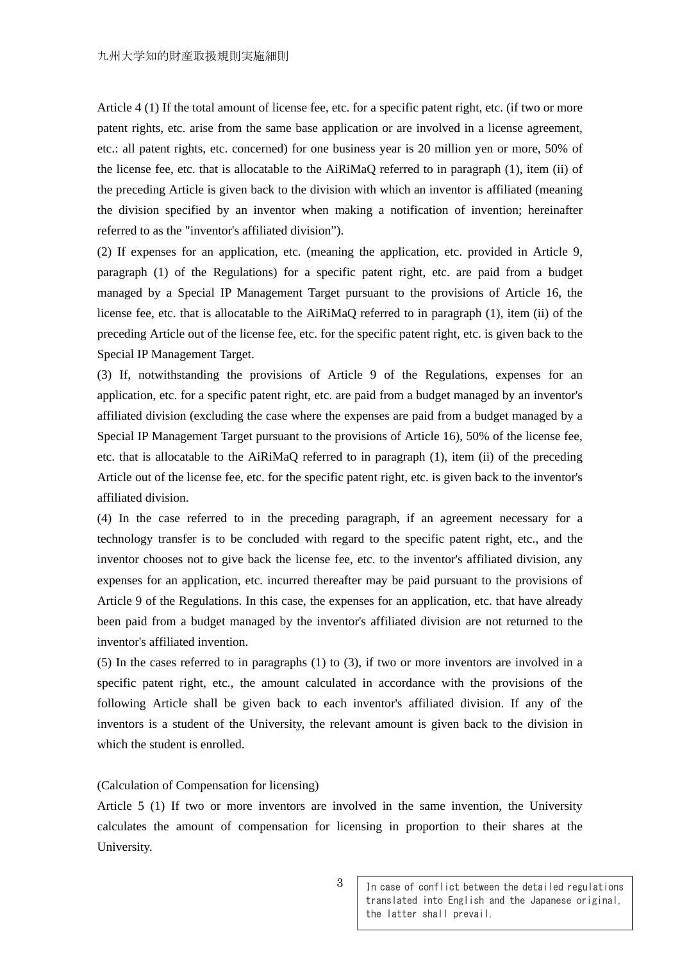Article 4 (1) If the total amount of license fee, etc. for a specific patent right, etc. (if two or more patent rights, etc. arise from the same base application or are involved in a license agreement, etc.: all patent rights, etc. concerned) for one business year is 20 million yen or more, 50% of the license fee, etc. that is allocatable to the AiRiMaQ referred to in paragraph (1), item (ii) of the preceding Article is given back to the division with which an inventor is affiliated (meaning the division specified by an inventor when making a notification of invention; hereinafter referred to as the "inventor's affiliated division").

(2) If expenses for an application, etc. (meaning the application, etc. provided in Article 9, paragraph (1) of the Regulations) for a specific patent right, etc. are paid from a budget managed by a Special IP Management Target pursuant to the provisions of Article 16, the license fee, etc. that is allocatable to the AiRiMaQ referred to in paragraph (1), item (ii) of the preceding Article out of the license fee, etc. for the specific patent right, etc. is given back to the Special IP Management Target.

(3) If, notwithstanding the provisions of Article 9 of the Regulations, expenses for an application, etc. for a specific patent right, etc. are paid from a budget managed by an inventor's affiliated division (excluding the case where the expenses are paid from a budget managed by a Special IP Management Target pursuant to the provisions of Article 16), 50% of the license fee, etc. that is allocatable to the AiRiMaQ referred to in paragraph (1), item (ii) of the preceding Article out of the license fee, etc. for the specific patent right, etc. is given back to the inventor's affiliated division.

(4) In the case referred to in the preceding paragraph, if an agreement necessary for a technology transfer is to be concluded with regard to the specific patent right, etc., and the inventor chooses not to give back the license fee, etc. to the inventor's affiliated division, any expenses for an application, etc. incurred thereafter may be paid pursuant to the provisions of Article 9 of the Regulations. In this case, the expenses for an application, etc. that have already been paid from a budget managed by the inventor's affiliated division are not returned to the inventor's affiliated invention.

(5) In the cases referred to in paragraphs (1) to (3), if two or more inventors are involved in a specific patent right, etc., the amount calculated in accordance with the provisions of the following Article shall be given back to each inventor's affiliated division. If any of the inventors is a student of the University, the relevant amount is given back to the division in which the student is enrolled.

### (Calculation of Compensation for licensing)

Article 5 (1) If two or more inventors are involved in the same invention, the University calculates the amount of compensation for licensing in proportion to their shares at the University.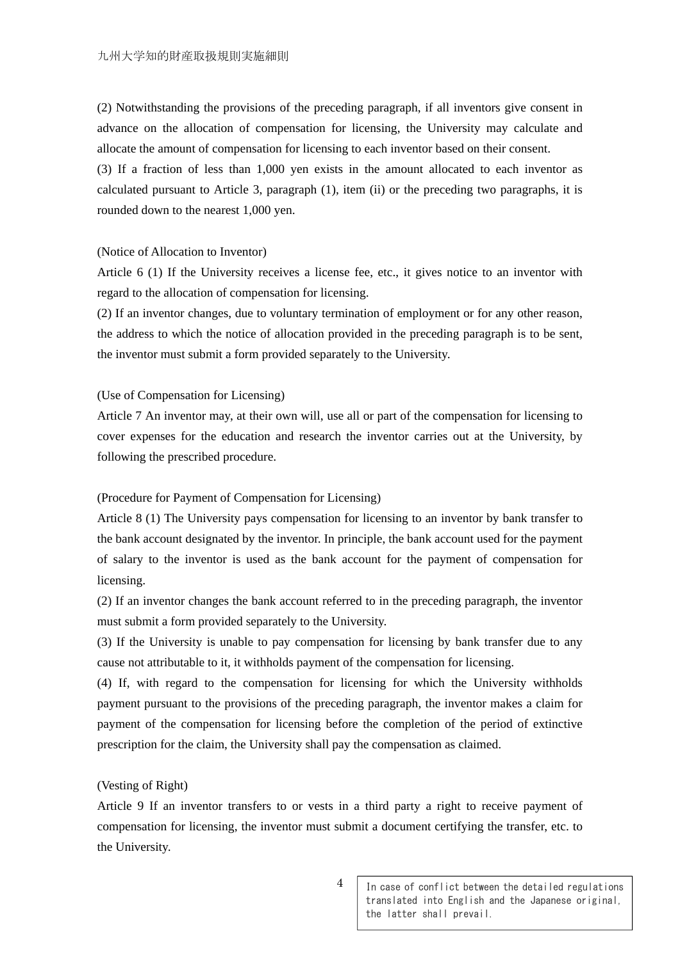(2) Notwithstanding the provisions of the preceding paragraph, if all inventors give consent in advance on the allocation of compensation for licensing, the University may calculate and allocate the amount of compensation for licensing to each inventor based on their consent.

(3) If a fraction of less than 1,000 yen exists in the amount allocated to each inventor as calculated pursuant to Article 3, paragraph (1), item (ii) or the preceding two paragraphs, it is rounded down to the nearest 1,000 yen.

#### (Notice of Allocation to Inventor)

Article 6 (1) If the University receives a license fee, etc., it gives notice to an inventor with regard to the allocation of compensation for licensing.

(2) If an inventor changes, due to voluntary termination of employment or for any other reason, the address to which the notice of allocation provided in the preceding paragraph is to be sent, the inventor must submit a form provided separately to the University.

## (Use of Compensation for Licensing)

Article 7 An inventor may, at their own will, use all or part of the compensation for licensing to cover expenses for the education and research the inventor carries out at the University, by following the prescribed procedure.

#### (Procedure for Payment of Compensation for Licensing)

Article 8 (1) The University pays compensation for licensing to an inventor by bank transfer to the bank account designated by the inventor. In principle, the bank account used for the payment of salary to the inventor is used as the bank account for the payment of compensation for licensing.

(2) If an inventor changes the bank account referred to in the preceding paragraph, the inventor must submit a form provided separately to the University.

(3) If the University is unable to pay compensation for licensing by bank transfer due to any cause not attributable to it, it withholds payment of the compensation for licensing.

(4) If, with regard to the compensation for licensing for which the University withholds payment pursuant to the provisions of the preceding paragraph, the inventor makes a claim for payment of the compensation for licensing before the completion of the period of extinctive prescription for the claim, the University shall pay the compensation as claimed.

### (Vesting of Right)

Article 9 If an inventor transfers to or vests in a third party a right to receive payment of compensation for licensing, the inventor must submit a document certifying the transfer, etc. to the University.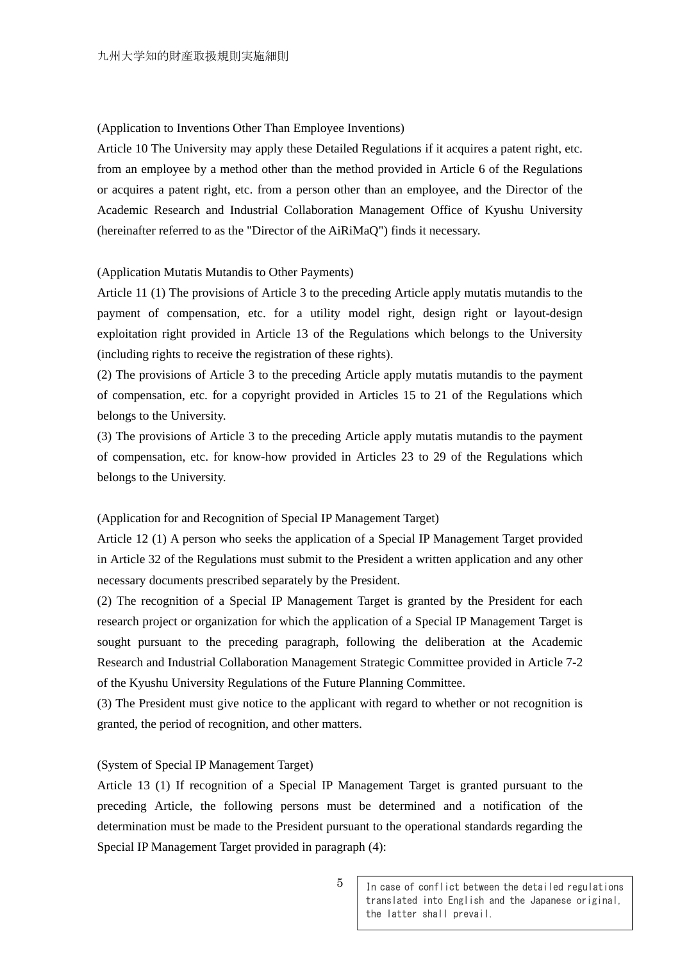### (Application to Inventions Other Than Employee Inventions)

Article 10 The University may apply these Detailed Regulations if it acquires a patent right, etc. from an employee by a method other than the method provided in Article 6 of the Regulations or acquires a patent right, etc. from a person other than an employee, and the Director of the Academic Research and Industrial Collaboration Management Office of Kyushu University (hereinafter referred to as the "Director of the AiRiMaQ") finds it necessary.

### (Application Mutatis Mutandis to Other Payments)

Article 11 (1) The provisions of Article 3 to the preceding Article apply mutatis mutandis to the payment of compensation, etc. for a utility model right, design right or layout-design exploitation right provided in Article 13 of the Regulations which belongs to the University (including rights to receive the registration of these rights).

(2) The provisions of Article 3 to the preceding Article apply mutatis mutandis to the payment of compensation, etc. for a copyright provided in Articles 15 to 21 of the Regulations which belongs to the University.

(3) The provisions of Article 3 to the preceding Article apply mutatis mutandis to the payment of compensation, etc. for know-how provided in Articles 23 to 29 of the Regulations which belongs to the University.

### (Application for and Recognition of Special IP Management Target)

Article 12 (1) A person who seeks the application of a Special IP Management Target provided in Article 32 of the Regulations must submit to the President a written application and any other necessary documents prescribed separately by the President.

(2) The recognition of a Special IP Management Target is granted by the President for each research project or organization for which the application of a Special IP Management Target is sought pursuant to the preceding paragraph, following the deliberation at the Academic Research and Industrial Collaboration Management Strategic Committee provided in Article 7-2 of the Kyushu University Regulations of the Future Planning Committee.

(3) The President must give notice to the applicant with regard to whether or not recognition is granted, the period of recognition, and other matters.

### (System of Special IP Management Target)

Article 13 (1) If recognition of a Special IP Management Target is granted pursuant to the preceding Article, the following persons must be determined and a notification of the determination must be made to the President pursuant to the operational standards regarding the Special IP Management Target provided in paragraph (4):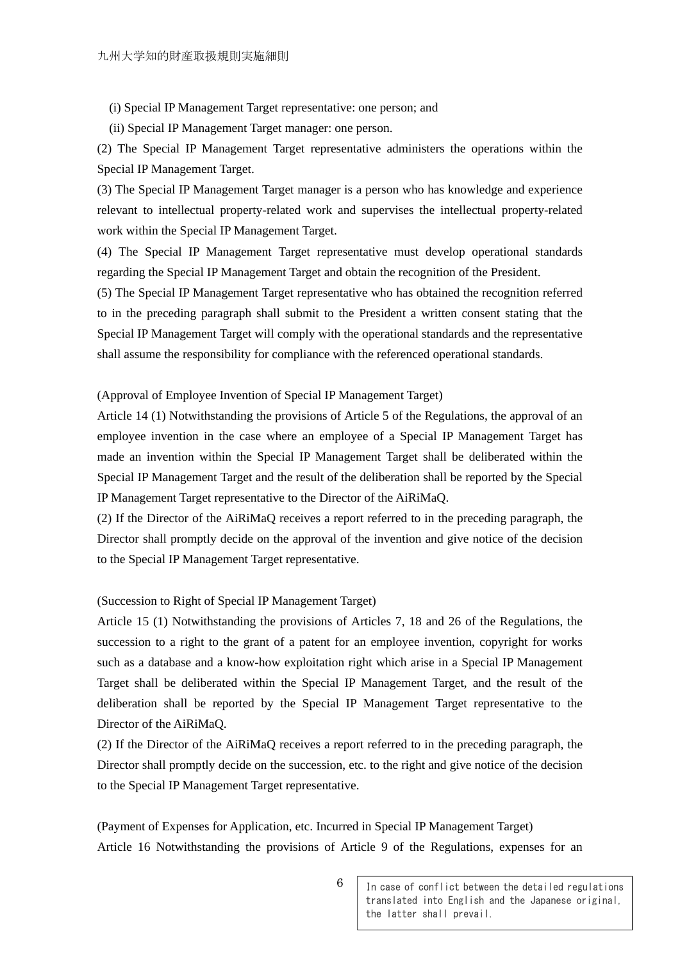(i) Special IP Management Target representative: one person; and

(ii) Special IP Management Target manager: one person.

(2) The Special IP Management Target representative administers the operations within the Special IP Management Target.

(3) The Special IP Management Target manager is a person who has knowledge and experience relevant to intellectual property-related work and supervises the intellectual property-related work within the Special IP Management Target.

(4) The Special IP Management Target representative must develop operational standards regarding the Special IP Management Target and obtain the recognition of the President.

(5) The Special IP Management Target representative who has obtained the recognition referred to in the preceding paragraph shall submit to the President a written consent stating that the Special IP Management Target will comply with the operational standards and the representative shall assume the responsibility for compliance with the referenced operational standards.

## (Approval of Employee Invention of Special IP Management Target)

Article 14 (1) Notwithstanding the provisions of Article 5 of the Regulations, the approval of an employee invention in the case where an employee of a Special IP Management Target has made an invention within the Special IP Management Target shall be deliberated within the Special IP Management Target and the result of the deliberation shall be reported by the Special IP Management Target representative to the Director of the AiRiMaQ.

(2) If the Director of the AiRiMaQ receives a report referred to in the preceding paragraph, the Director shall promptly decide on the approval of the invention and give notice of the decision to the Special IP Management Target representative.

### (Succession to Right of Special IP Management Target)

Article 15 (1) Notwithstanding the provisions of Articles 7, 18 and 26 of the Regulations, the succession to a right to the grant of a patent for an employee invention, copyright for works such as a database and a know-how exploitation right which arise in a Special IP Management Target shall be deliberated within the Special IP Management Target, and the result of the deliberation shall be reported by the Special IP Management Target representative to the Director of the AiRiMaQ.

(2) If the Director of the AiRiMaQ receives a report referred to in the preceding paragraph, the Director shall promptly decide on the succession, etc. to the right and give notice of the decision to the Special IP Management Target representative.

(Payment of Expenses for Application, etc. Incurred in Special IP Management Target) Article 16 Notwithstanding the provisions of Article 9 of the Regulations, expenses for an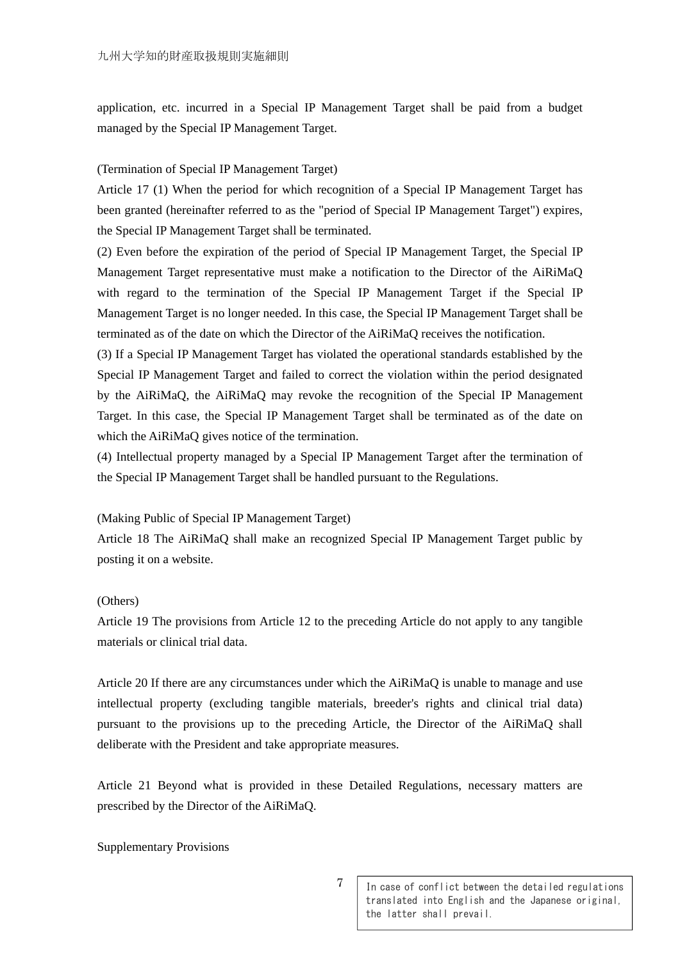application, etc. incurred in a Special IP Management Target shall be paid from a budget managed by the Special IP Management Target.

# (Termination of Special IP Management Target)

Article 17 (1) When the period for which recognition of a Special IP Management Target has been granted (hereinafter referred to as the "period of Special IP Management Target") expires, the Special IP Management Target shall be terminated.

(2) Even before the expiration of the period of Special IP Management Target, the Special IP Management Target representative must make a notification to the Director of the AiRiMaQ with regard to the termination of the Special IP Management Target if the Special IP Management Target is no longer needed. In this case, the Special IP Management Target shall be terminated as of the date on which the Director of the AiRiMaQ receives the notification.

(3) If a Special IP Management Target has violated the operational standards established by the Special IP Management Target and failed to correct the violation within the period designated by the AiRiMaQ, the AiRiMaQ may revoke the recognition of the Special IP Management Target. In this case, the Special IP Management Target shall be terminated as of the date on which the AiRiMaQ gives notice of the termination.

(4) Intellectual property managed by a Special IP Management Target after the termination of the Special IP Management Target shall be handled pursuant to the Regulations.

# (Making Public of Special IP Management Target)

Article 18 The AiRiMaQ shall make an recognized Special IP Management Target public by posting it on a website.

# (Others)

Article 19 The provisions from Article 12 to the preceding Article do not apply to any tangible materials or clinical trial data.

Article 20 If there are any circumstances under which the AiRiMaQ is unable to manage and use intellectual property (excluding tangible materials, breeder's rights and clinical trial data) pursuant to the provisions up to the preceding Article, the Director of the AiRiMaQ shall deliberate with the President and take appropriate measures.

Article 21 Beyond what is provided in these Detailed Regulations, necessary matters are prescribed by the Director of the AiRiMaQ.

### Supplementary Provisions